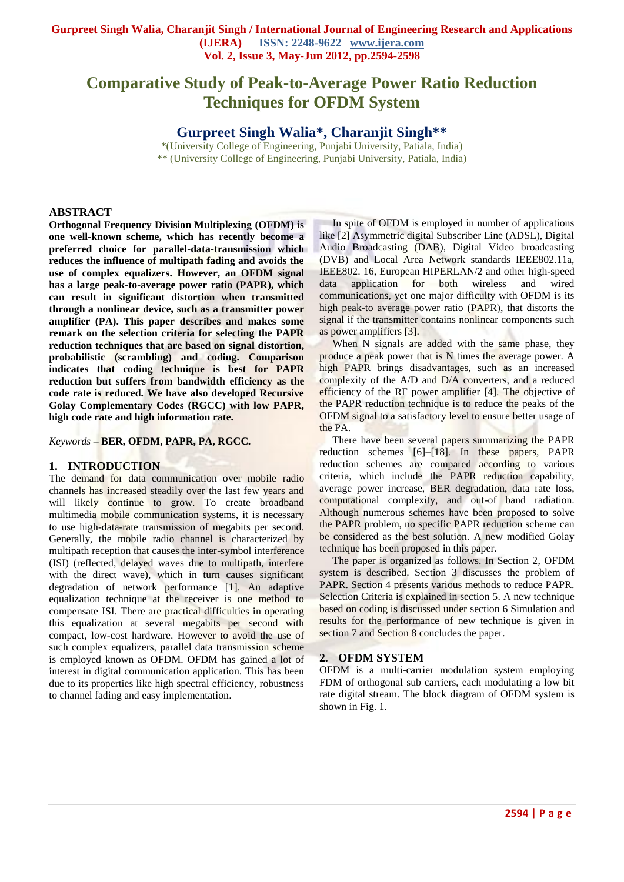# **Comparative Study of Peak-to-Average Power Ratio Reduction Techniques for OFDM System**

**Gurpreet Singh Walia\*, Charanjit Singh\*\***

\*(University College of Engineering, Punjabi University, Patiala, India) \*\* (University College of Engineering, Punjabi University, Patiala, India)

## **ABSTRACT**

**Orthogonal Frequency Division Multiplexing (OFDM) is one well-known scheme, which has recently become a preferred choice for parallel-data-transmission which reduces the influence of multipath fading and avoids the use of complex equalizers. However, an OFDM signal has a large peak-to-average power ratio (PAPR), which can result in significant distortion when transmitted through a nonlinear device, such as a transmitter power amplifier (PA). This paper describes and makes some remark on the selection criteria for selecting the PAPR reduction techniques that are based on signal distortion, probabilistic (scrambling) and coding. Comparison indicates that coding technique is best for PAPR reduction but suffers from bandwidth efficiency as the code rate is reduced. We have also developed Recursive Golay Complementary Codes (RGCC) with low PAPR, high code rate and high information rate.**

*Keywords –* **BER, OFDM, PAPR, PA, RGCC***.*

## **1. INTRODUCTION**

The demand for data communication over mobile radio channels has increased steadily over the last few years and will likely continue to grow. To create broadband multimedia mobile communication systems, it is necessary to use high-data-rate transmission of megabits per second. Generally, the mobile radio channel is characterized by multipath reception that causes the inter-symbol interference (ISI) (reflected, delayed waves due to multipath, interfere with the direct wave), which in turn causes significant degradation of network performance [1]. An adaptive equalization technique at the receiver is one method to compensate ISI. There are practical difficulties in operating this equalization at several megabits per second with compact, low-cost hardware. However to avoid the use of such complex equalizers, parallel data transmission scheme is employed known as OFDM. OFDM has gained a lot of interest in digital communication application. This has been due to its properties like high spectral efficiency, robustness to channel fading and easy implementation.

 In spite of OFDM is employed in number of applications like [2] Asymmetric digital Subscriber Line (ADSL), Digital Audio Broadcasting (DAB), Digital Video broadcasting (DVB) and Local Area Network standards IEEE802.11a, IEEE802. 16, European HIPERLAN/2 and other high-speed data application for both wireless and wired communications, yet one major difficulty with OFDM is its high peak-to average power ratio (PAPR), that distorts the signal if the transmitter contains nonlinear components such as power amplifiers [3].

When N signals are added with the same phase, they produce a peak power that is N times the average power. A high PAPR brings disadvantages, such as an increased complexity of the A/D and D/A converters, and a reduced efficiency of the RF power amplifier [4]. The objective of the PAPR reduction technique is to reduce the peaks of the OFDM signal to a satisfactory level to ensure better usage of the PA.

 There have been several papers summarizing the PAPR reduction schemes [6]–[18]. In these papers, PAPR reduction schemes are compared according to various criteria, which include the PAPR reduction capability, average power increase, BER degradation, data rate loss, computational complexity, and out-of band radiation. Although numerous schemes have been proposed to solve the PAPR problem, no specific PAPR reduction scheme can be considered as the best solution. A new modified Golay technique has been proposed in this paper.

 The paper is organized as follows. In Section 2, OFDM system is described. Section 3 discusses the problem of PAPR. Section 4 presents various methods to reduce PAPR. Selection Criteria is explained in section 5. A new technique based on coding is discussed under section 6 Simulation and results for the performance of new technique is given in section 7 and Section 8 concludes the paper.

## **2. OFDM SYSTEM**

OFDM is a multi-carrier modulation system employing FDM of orthogonal sub carriers, each modulating a low bit rate digital stream. The block diagram of OFDM system is shown in Fig. 1.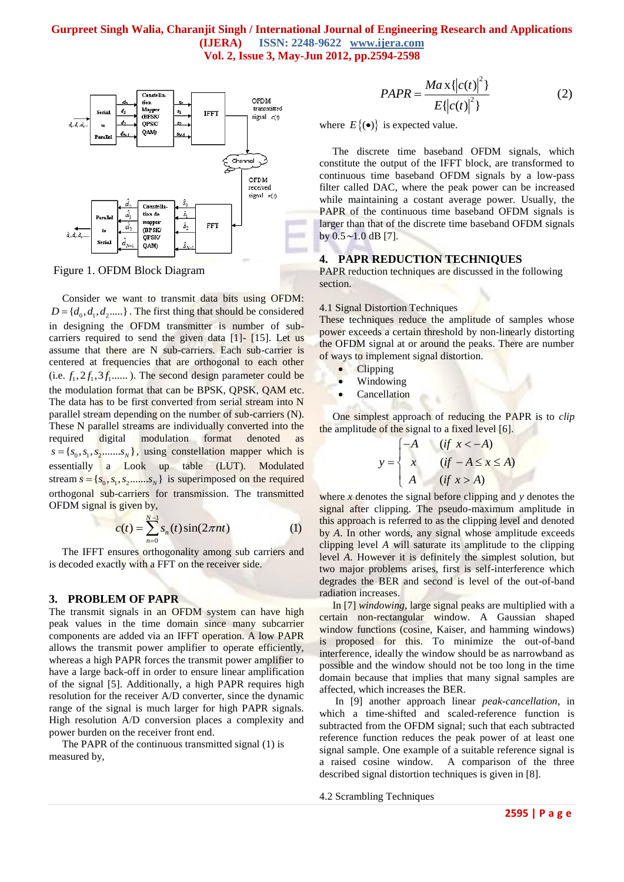

Figure 1. OFDM Block Diagram

 Consider we want to transmit data bits using OFDM:  $D = \{d_0, d_1, d_2, \dots\}$ . The first thing that should be considered in designing the OFDM transmitter is number of subcarriers required to send the given data [1]- [15]. Let us assume that there are N sub-carriers. Each sub-carrier is centered at frequencies that are orthogonal to each other  $(i.e. f_1, 2f_1, 3f_1, \ldots)$ . The second design parameter could be the modulation format that can be BPSK, QPSK, QAM etc. The data has to be first converted from serial stream into N parallel stream depending on the number of sub-carriers (N). These N parallel streams are individually converted into the required digital modulation format denoted as  $s = \{s_0, s_1, s_2, \dots, s_N\}$ , using constellation mapper which is essentially a Look up table (LUT). Modulated stream  $s = \{s_0, s_1, s_2, \dots, s_N\}$  is superimposed on the required orthogonal sub-carriers for transmission. The transmitted OFDM signal is given by,

$$
c(t) = \sum_{n=0}^{N-1} s_n(t) \sin(2\pi nt)
$$
 (1)

 The IFFT ensures orthogonality among sub carriers and is decoded exactly with a FFT on the receiver side.

#### **3. PROBLEM OF PAPR**

The transmit signals in an OFDM system can have high peak values in the time domain since many subcarrier components are added via an IFFT operation. A low PAPR allows the transmit power amplifier to operate efficiently, whereas a high PAPR forces the transmit power amplifier to have a large back-off in order to ensure linear amplification of the signal [5]. Additionally, a high PAPR requires high resolution for the receiver A/D converter, since the dynamic range of the signal is much larger for high PAPR signals. High resolution A/D conversion places a complexity and power burden on the receiver front end.

 The PAPR of the continuous transmitted signal (1) is measured by,

$$
PAPR = \frac{Max\{|c(t)|^{2}\}}{E\{|c(t)|^{2}\}}
$$
 (2)

where  $E\{(\bullet)\}\$ is expected value.

 The discrete time baseband OFDM signals, which constitute the output of the IFFT block, are transformed to continuous time baseband OFDM signals by a low-pass filter called DAC, where the peak power can be increased while maintaining a costant average power. Usually, the PAPR of the continuous time baseband OFDM signals is larger than that of the discrete time baseband OFDM signals by 0*.*5∼1*.*0 dB [7].

## **4. PAPR REDUCTION TECHNIQUES**

PAPR reduction techniques are discussed in the following section.

#### 4.1 Signal Distortion Techniques

These techniques reduce the amplitude of samples whose power exceeds a certain threshold by non-linearly distorting the OFDM signal at or around the peaks. There are number of ways to implement signal distortion.

- **Clipping** 
	- Windowing
- Cancellation

 One simplest approach of reducing the PAPR is to *clip* the amplitude of the signal to a fixed level [6].

$$
y = \begin{cases}\n-A & (if x < -A) \\
x & (if -A \le x \le A) \\
A & (if x > A)\n\end{cases}
$$

where *x* denotes the signal before clipping and *y* denotes the signal after clipping. The pseudo-maximum amplitude in this approach is referred to as the clipping level and denoted by *A*. In other words, any signal whose amplitude exceeds clipping level *A* will saturate its amplitude to the clipping level *A*. However it is definitely the simplest solution, but two major problems arises, first is self-interference which degrades the BER and second is level of the out-of-band radiation increases.

 In [7] *windowing*, large signal peaks are multiplied with a certain non-rectangular window. A Gaussian shaped window functions (cosine, Kaiser, and hamming windows) is proposed for this. To minimize the out-of-band interference, ideally the window should be as narrowband as possible and the window should not be too long in the time domain because that implies that many signal samples are affected, which increases the BER.

 In [9] another approach linear *peak-cancellation*, in which a time-shifted and scaled-reference function is subtracted from the OFDM signal; such that each subtracted reference function reduces the peak power of at least one signal sample. One example of a suitable reference signal is a raised cosine window. A comparison of the three described signal distortion techniques is given in [8].

4.2 Scrambling Techniques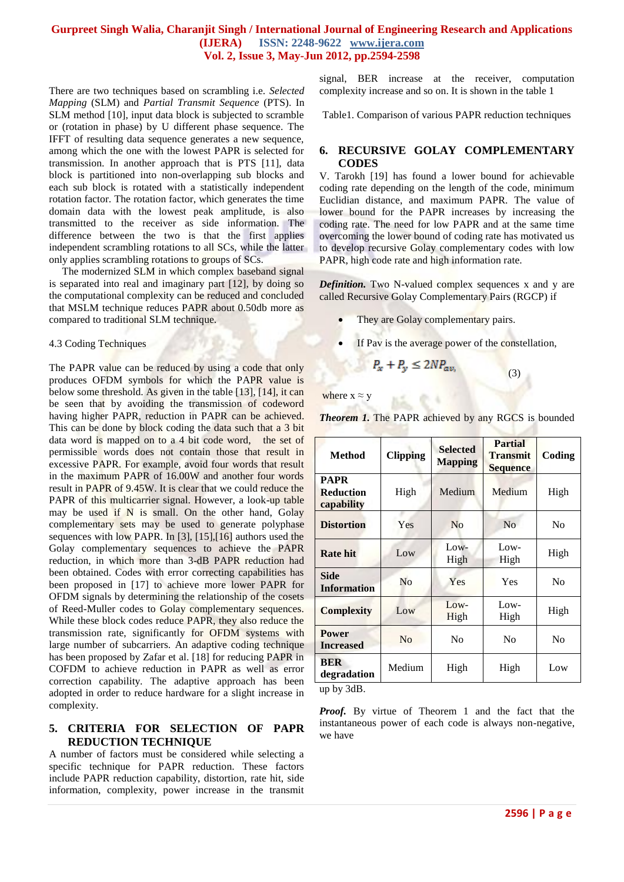There are two techniques based on scrambling i.e. *Selected Mapping* (SLM) and *Partial Transmit Sequence* (PTS). In SLM method [10], input data block is subjected to scramble or (rotation in phase) by U different phase sequence. The IFFT of resulting data sequence generates a new sequence, among which the one with the lowest PAPR is selected for transmission. In another approach that is PTS [11]*,* data block is partitioned into non-overlapping sub blocks and each sub block is rotated with a statistically independent rotation factor. The rotation factor, which generates the time domain data with the lowest peak amplitude, is also transmitted to the receiver as side information. The difference between the two is that the first applies independent scrambling rotations to all SCs, while the latter only applies scrambling rotations to groups of SCs.

 The modernized SLM in which complex baseband signal is separated into real and imaginary part [12], by doing so the computational complexity can be reduced and concluded that MSLM technique reduces PAPR about 0.50db more as compared to traditional SLM technique.

### 4.3 Coding Techniques

The PAPR value can be reduced by using a code that only produces OFDM symbols for which the PAPR value is below some threshold. As given in the table [13], [14], it can be seen that by avoiding the transmission of codeword having higher PAPR, reduction in PAPR can be achieved. This can be done by block coding the data such that a 3 bit data word is mapped on to a 4 bit code word, the set of permissible words does not contain those that result in excessive PAPR. For example, avoid four words that result in the maximum PAPR of 16.00W and another four words result in PAPR of 9.45W. It is clear that we could reduce the PAPR of this multicarrier signal. However, a look-up table may be used if  $N$  is small. On the other hand, Golay complementary sets may be used to generate polyphase sequences with low PAPR. In [3], [15],[16] authors used the Golay complementary sequences to achieve the PAPR reduction, in which more than 3-dB PAPR reduction had been obtained. Codes with error correcting capabilities has been proposed in [17] to achieve more lower PAPR for OFDM signals by determining the relationship of the cosets of Reed-Muller codes to Golay complementary sequences. While these block codes reduce PAPR, they also reduce the transmission rate, significantly for OFDM systems with large number of subcarriers. An adaptive coding technique has been proposed by Zafar et al. [18] for reducing PAPR in COFDM to achieve reduction in PAPR as well as error correction capability. The adaptive approach has been adopted in order to reduce hardware for a slight increase in complexity.

## **5. CRITERIA FOR SELECTION OF PAPR REDUCTION TECHNIQUE**

A number of factors must be considered while selecting a specific technique for PAPR reduction. These factors include PAPR reduction capability, distortion, rate hit, side information, complexity, power increase in the transmit

signal, BER increase at the receiver, computation complexity increase and so on. It is shown in the table 1

Table1. Comparison of various PAPR reduction techniques

## **6. RECURSIVE GOLAY COMPLEMENTARY CODES**

V. Tarokh [19] has found a lower bound for achievable coding rate depending on the length of the code, minimum Euclidian distance, and maximum PAPR. The value of lower bound for the PAPR increases by increasing the coding rate. The need for low PAPR and at the same time overcoming the lower bound of coding rate has motivated us to develop recursive Golay complementary codes with low PAPR, high code rate and high information rate.

*Definition.* Two N-valued complex sequences x and y are called Recursive Golay Complementary Pairs (RGCP) if

- They are Golay complementary pairs.
- If Pav is the average power of the constellation,

$$
+ P_{y} \leq 2NP_{av}
$$

where  $x \approx y$ 

 $P_{\rm x}$ 

| <b>Method</b>                                 | <b>Clipping</b> | <b>Selected</b><br><b>Mapping</b> | <b>Partial</b><br><b>Transmit</b><br><b>Sequence</b> | Coding         |
|-----------------------------------------------|-----------------|-----------------------------------|------------------------------------------------------|----------------|
| <b>PAPR</b><br><b>Reduction</b><br>capability | High            | Medium                            | Medium                                               | High           |
| <b>Distortion</b>                             | Yes             | N <sub>0</sub>                    | No                                                   | N <sub>0</sub> |
| <b>Rate hit</b>                               | Low             | $Low-$<br>High                    | Low-<br>High                                         | High           |
| <b>Side</b><br><b>Information</b>             | N <sub>0</sub>  | Yes                               | Yes                                                  | N <sub>0</sub> |
| <b>Complexity</b>                             | Low             | $Low-$<br>High                    | Low-<br>High                                         | High           |
| <b>Power</b><br><b>Increased</b>              | No              | N <sub>0</sub>                    | N <sub>0</sub>                                       | N <sub>0</sub> |
| <b>BER</b><br>degradation                     | Medium          | High                              | High                                                 | Low            |

up by 3dB.

*Proof.* By virtue of Theorem 1 and the fact that the instantaneous power of each code is always non-negative, we have

**Theorem 1.** The PAPR achieved by any RGCS is bounded

(3)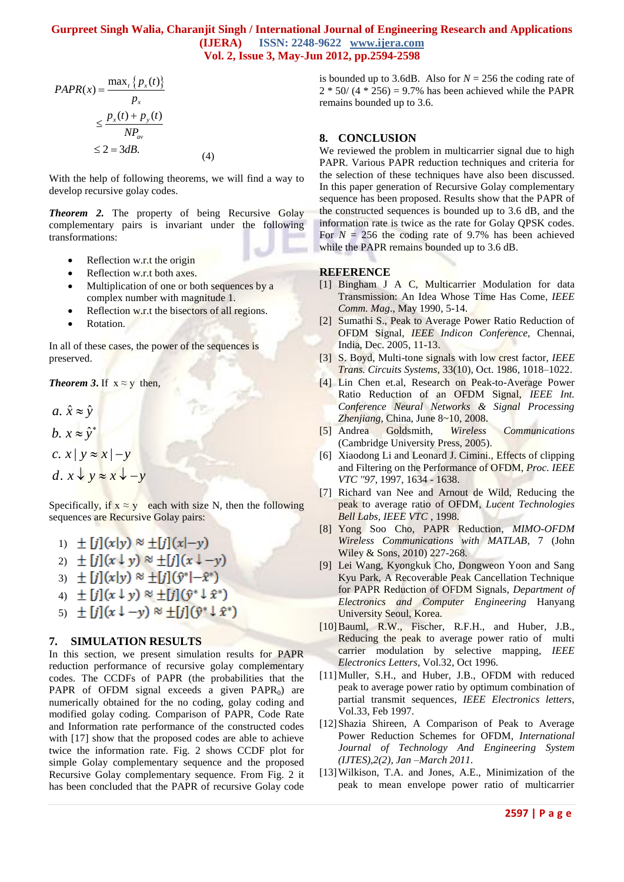$$
PAPR(x) = \frac{\max_{t} \{p_x(t)\}}{p_x}
$$
  
\n
$$
\leq \frac{p_x(t) + p_y(t)}{NP_{av}}
$$
  
\n
$$
\leq 2 = 3dB.
$$
 (4)

With the help of following theorems, we will find a way to develop recursive golay codes.

*Theorem 2.* The property of being Recursive Golay complementary pairs is invariant under the following transformations:

- $\bullet$  Reflection w.r.t the origin
- Reflection w.r.t both axes.
- Multiplication of one or both sequences by a complex number with magnitude 1.
- Reflection w.r.t the bisectors of all regions.
- Rotation.

In all of these cases, the power of the sequences is preserved.

*Theorem 3.* If  $x \approx y$  then,

.  $\hat{x} \approx \hat{y}$ a.  $\hat{x} \approx \hat{y}$ <br>b.  $x \approx \hat{y}^*$ c.  $x | y \approx x |- y$  $d. x \downarrow y \approx x \downarrow -y$ 

Specifically, if  $x \approx y$  each with size N, then the following sequences are Recursive Golay pairs:

- 1)  $\pm [j](x|y) \approx \pm [j](x|-y)$
- 2)  $\pm [j](x \downarrow y) \approx \pm [j](x \downarrow -y)$
- 3)  $\pm [j](x|y) \approx \pm [j](\hat{y}^*|-\hat{x}^*)$
- 4)  $\pm [j](x \downarrow y) \approx \pm [j](\hat{y}^* \downarrow \hat{x}^*)$
- 5)  $\pm [j](x \downarrow -y) \approx \pm [j](\hat{y}^* \downarrow \hat{x}^*)$

## **7. SIMULATION RESULTS**

**2597 259 259 259 259 259 259 259 259 259 259 259 259 259 259 259 259 259 259 259 259 259 259 259 259 259 259 259 259 259 259 259 259 259 259 259 259** In this section, we present simulation results for PAPR reduction performance of recursive golay complementary codes. The CCDFs of PAPR (the probabilities that the PAPR of OFDM signal exceeds a given  $PAPR_0$  are numerically obtained for the no coding, golay coding and modified golay coding. Comparison of PAPR, Code Rate and Information rate performance of the constructed codes with [17] show that the proposed codes are able to achieve twice the information rate. Fig. 2 shows CCDF plot for simple Golay complementary sequence and the proposed Recursive Golay complementary sequence. From Fig. 2 it has been concluded that the PAPR of recursive Golay code

is bounded up to 3.6dB. Also for  $N = 256$  the coding rate of  $2 * 50 / (4 * 256) = 9.7%$  has been achieved while the PAPR remains bounded up to 3.6.

## **8. CONCLUSION**

We reviewed the problem in multicarrier signal due to high PAPR. Various PAPR reduction techniques and criteria for the selection of these techniques have also been discussed. In this paper generation of Recursive Golay complementary sequence has been proposed. Results show that the PAPR of the constructed sequences is bounded up to 3.6 dB, and the information rate is twice as the rate for Golay QPSK codes. For  $N = 256$  the coding rate of 9.7% has been achieved while the PAPR remains bounded up to 3.6 dB.

## **REFERENCE**

- [1] Bingham J A C, Multicarrier Modulation for data Transmission: An Idea Whose Time Has Come, *IEEE Comm. Mag*., May 1990, 5-14.
- [2] Sumathi S., Peak to Average Power Ratio Reduction of OFDM Signal, *IEEE Indicon Conference,* Chennai, India, Dec. 2005, 11-13.
- [3] S. Boyd, Multi-tone signals with low crest factor, *IEEE Trans. Circuits Systems*, 33(10), Oct. 1986, 1018–1022.
- [4] Lin Chen et.al, Research on Peak-to-Average Power Ratio Reduction of an OFDM Signal, *IEEE Int. Conference Neural Networks & Signal Processing Zhenjiang,* China, June 8~10, 2008.
- [5] Andrea Goldsmith, *Wireless Communications* (Cambridge University Press, 2005).
- [6] Xiaodong Li and Leonard J. Cimini., Effects of clipping and Filtering on the Performance of OFDM, *Proc. IEEE VTC ''97*, 1997*,* 1634 - 1638.
- [7] Richard van Nee and Arnout de Wild, Reducing the peak to average ratio of OFDM, *Lucent Technologies Bell Labs, IEEE VTC* , 1998.
- [8] Yong Soo Cho, PAPR Reduction, *MIMO-OFDM Wireless Communications with MATLAB*, 7 (John Wiley & Sons, 2010) 227-268.
- [9] Lei Wang, Kyongkuk Cho, Dongweon Yoon and Sang Kyu Park, A Recoverable Peak Cancellation Technique for PAPR Reduction of OFDM Signals, *Department of Electronics and Computer Engineering* Hanyang University Seoul, Korea.
- [10]Bauml, R.W., Fischer, R.F.H., and Huber, J.B., Reducing the peak to average power ratio of multi carrier modulation by selective mapping, *IEEE Electronics Letters*, Vol.32, Oct 1996.
- [11] Muller, S.H., and Huber, J.B., OFDM with reduced peak to average power ratio by optimum combination of partial transmit sequences, *IEEE Electronics letters*, Vol.33, Feb 1997.
- [12]Shazia Shireen, A Comparison of Peak to Average Power Reduction Schemes for OFDM, *International Journal of Technology And Engineering System (IJTES),2(2), Jan –March 2011.*
- [13]Wilkison, T.A. and Jones, A.E., Minimization of the peak to mean envelope power ratio of multicarrier